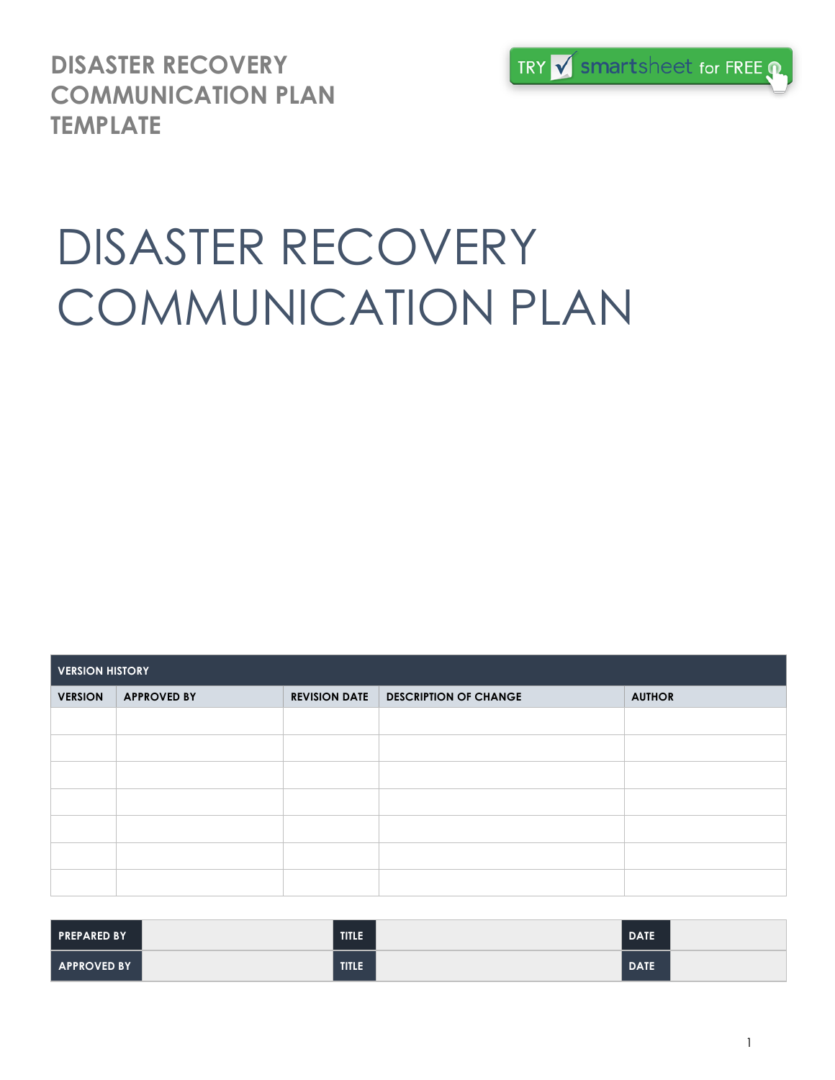**DISASTER RECOVERY COMMUNICATION PLAN TEMPLATE**



# DISASTER RECOVERY COMMUNICATION PLAN

| <b>VERSION HISTORY</b> |                    |                      |                              |               |  |
|------------------------|--------------------|----------------------|------------------------------|---------------|--|
| <b>VERSION</b>         | <b>APPROVED BY</b> | <b>REVISION DATE</b> | <b>DESCRIPTION OF CHANGE</b> | <b>AUTHOR</b> |  |
|                        |                    |                      |                              |               |  |
|                        |                    |                      |                              |               |  |
|                        |                    |                      |                              |               |  |
|                        |                    |                      |                              |               |  |
|                        |                    |                      |                              |               |  |
|                        |                    |                      |                              |               |  |
|                        |                    |                      |                              |               |  |

| <b>PREPARED BY</b> | <b>TITLE</b> | <b>DATE</b> |  |
|--------------------|--------------|-------------|--|
| APPROVED BY        | <b>TITLE</b> | <b>DATE</b> |  |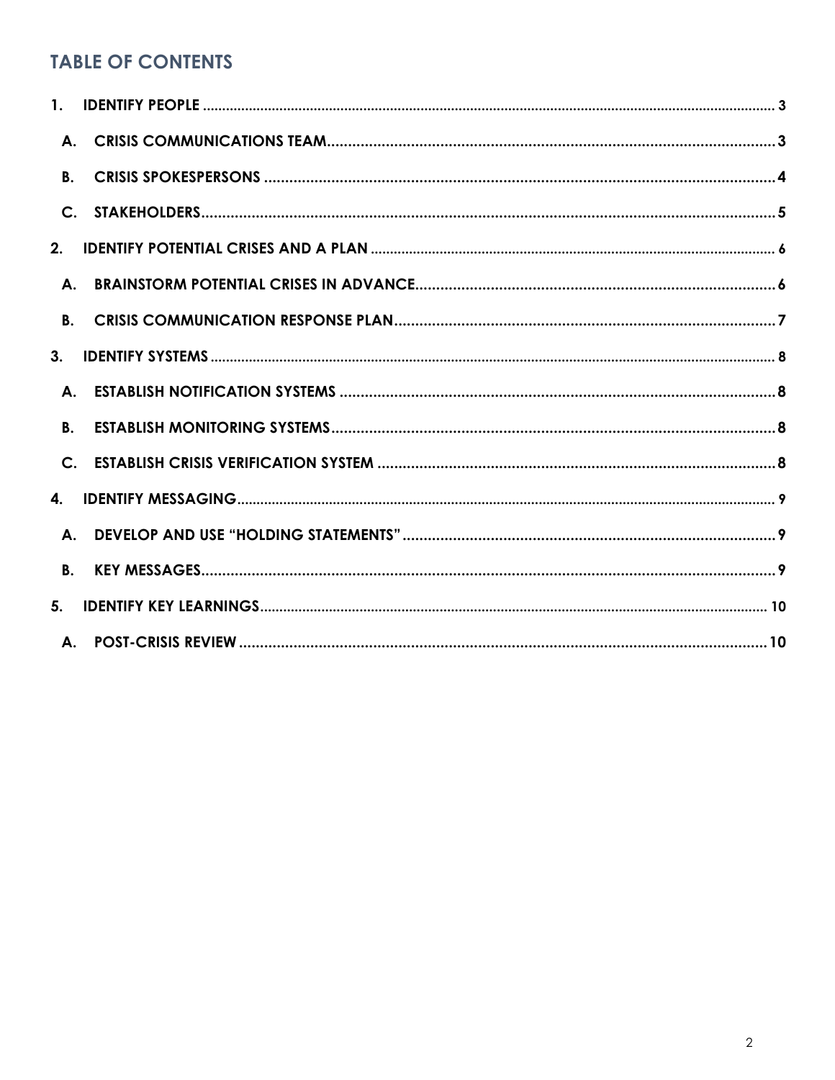# **TABLE OF CONTENTS**

| <b>A.</b>      |  |
|----------------|--|
| <b>B.</b>      |  |
| $C_{1}$        |  |
| 2.             |  |
| А.             |  |
| B <sub>1</sub> |  |
| 3 <sub>1</sub> |  |
| А.             |  |
| B <sub>1</sub> |  |
| $\mathsf{C}$ . |  |
| 4.             |  |
| <b>A.</b>      |  |
| B <sub>1</sub> |  |
| 5.             |  |
|                |  |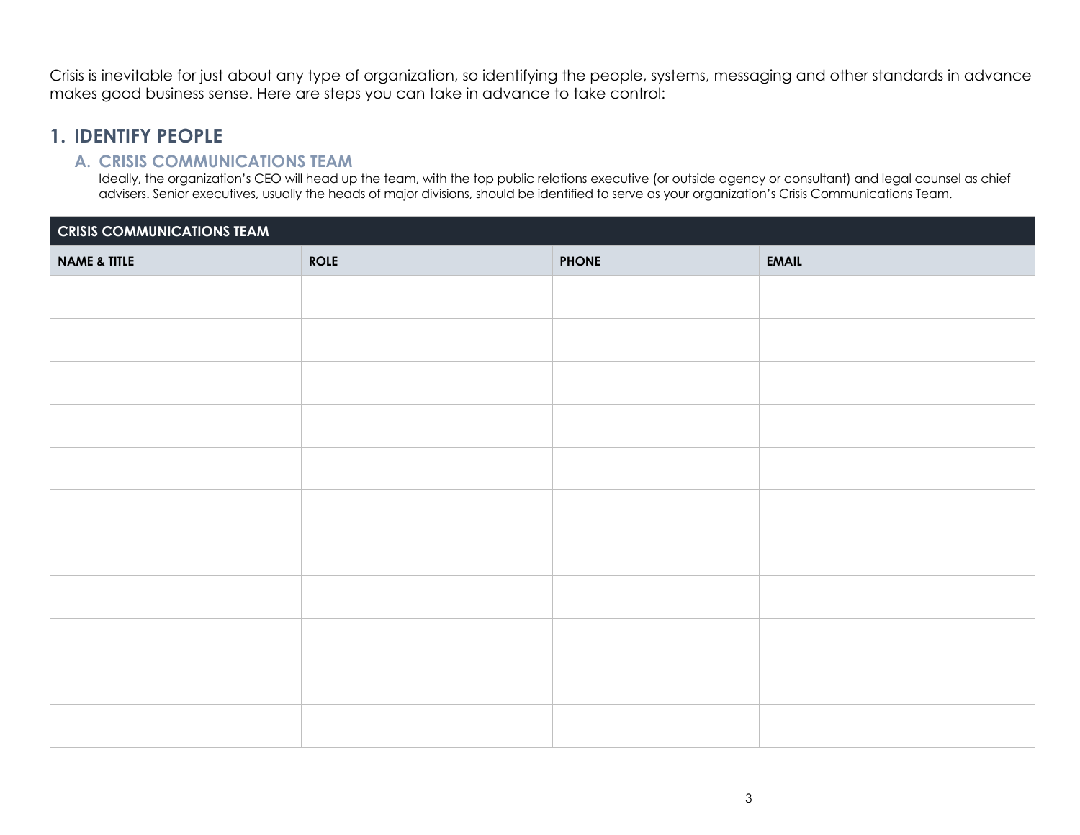Crisis is inevitable for just about any type of organization, so identifying the people, systems, messaging and other standards in advance makes good business sense. Here are steps you can take in advance to take control:

## **1. IDENTIFY PEOPLE**

### **A. CRISIS COMMUNICATIONS TEAM**

Ideally, the organization's CEO will head up the team, with the top public relations executive (or outside agency or consultant) and legal counsel as chief advisers. Senior executives, usually the heads of major divisions, should be identified to serve as your organization's Crisis Communications Team.

| <b>CRISIS COMMUNICATIONS TEAM</b> |             |              |              |  |  |
|-----------------------------------|-------------|--------------|--------------|--|--|
| <b>NAME &amp; TITLE</b>           | <b>ROLE</b> | <b>PHONE</b> | <b>EMAIL</b> |  |  |
|                                   |             |              |              |  |  |
|                                   |             |              |              |  |  |
|                                   |             |              |              |  |  |
|                                   |             |              |              |  |  |
|                                   |             |              |              |  |  |
|                                   |             |              |              |  |  |
|                                   |             |              |              |  |  |
|                                   |             |              |              |  |  |
|                                   |             |              |              |  |  |
|                                   |             |              |              |  |  |
|                                   |             |              |              |  |  |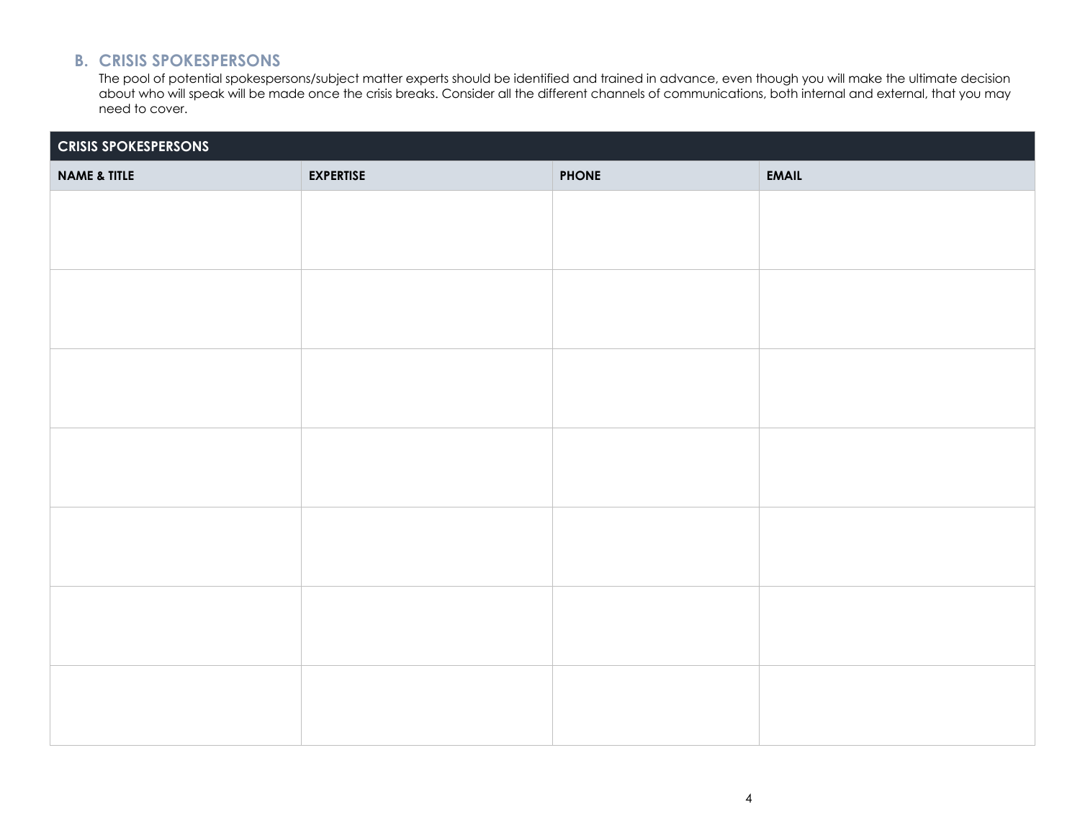#### **B. CRISIS SPOKESPERSONS**

The pool of potential spokespersons/subject matter experts should be identified and trained in advance, even though you will make the ultimate decision about who will speak will be made once the crisis breaks. Consider all the different channels of communications, both internal and external, that you may need to cover.

| <b>CRISIS SPOKESPERSONS</b> |                  |              |              |  |
|-----------------------------|------------------|--------------|--------------|--|
| <b>NAME &amp; TITLE</b>     | <b>EXPERTISE</b> | <b>PHONE</b> | <b>EMAIL</b> |  |
|                             |                  |              |              |  |
|                             |                  |              |              |  |
|                             |                  |              |              |  |
|                             |                  |              |              |  |
|                             |                  |              |              |  |
|                             |                  |              |              |  |
|                             |                  |              |              |  |
|                             |                  |              |              |  |
|                             |                  |              |              |  |
|                             |                  |              |              |  |
|                             |                  |              |              |  |
|                             |                  |              |              |  |
|                             |                  |              |              |  |
|                             |                  |              |              |  |
|                             |                  |              |              |  |
|                             |                  |              |              |  |
|                             |                  |              |              |  |
|                             |                  |              |              |  |
|                             |                  |              |              |  |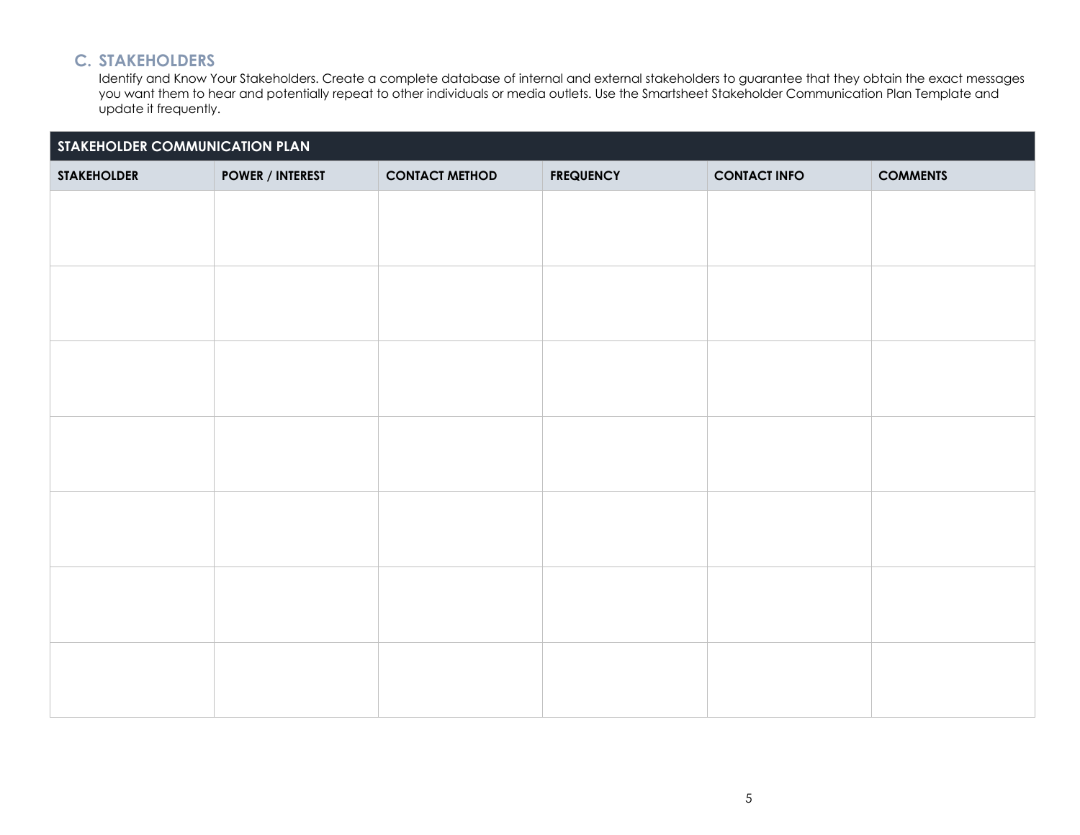## **C. STAKEHOLDERS**

Identify and Know Your Stakeholders. Create a complete database of internal and external stakeholders to guarantee that they obtain the exact messages you want them to hear and potentially repeat to other individuals or media outlets. Use the Smartsheet Stakeholder Communication Plan Template and update it frequently.

| STAKEHOLDER COMMUNICATION PLAN |                         |                       |                  |                     |                 |
|--------------------------------|-------------------------|-----------------------|------------------|---------------------|-----------------|
| <b>STAKEHOLDER</b>             | <b>POWER / INTEREST</b> | <b>CONTACT METHOD</b> | <b>FREQUENCY</b> | <b>CONTACT INFO</b> | <b>COMMENTS</b> |
|                                |                         |                       |                  |                     |                 |
|                                |                         |                       |                  |                     |                 |
|                                |                         |                       |                  |                     |                 |
|                                |                         |                       |                  |                     |                 |
|                                |                         |                       |                  |                     |                 |
|                                |                         |                       |                  |                     |                 |
|                                |                         |                       |                  |                     |                 |
|                                |                         |                       |                  |                     |                 |
|                                |                         |                       |                  |                     |                 |
|                                |                         |                       |                  |                     |                 |
|                                |                         |                       |                  |                     |                 |
|                                |                         |                       |                  |                     |                 |
|                                |                         |                       |                  |                     |                 |
|                                |                         |                       |                  |                     |                 |
|                                |                         |                       |                  |                     |                 |
|                                |                         |                       |                  |                     |                 |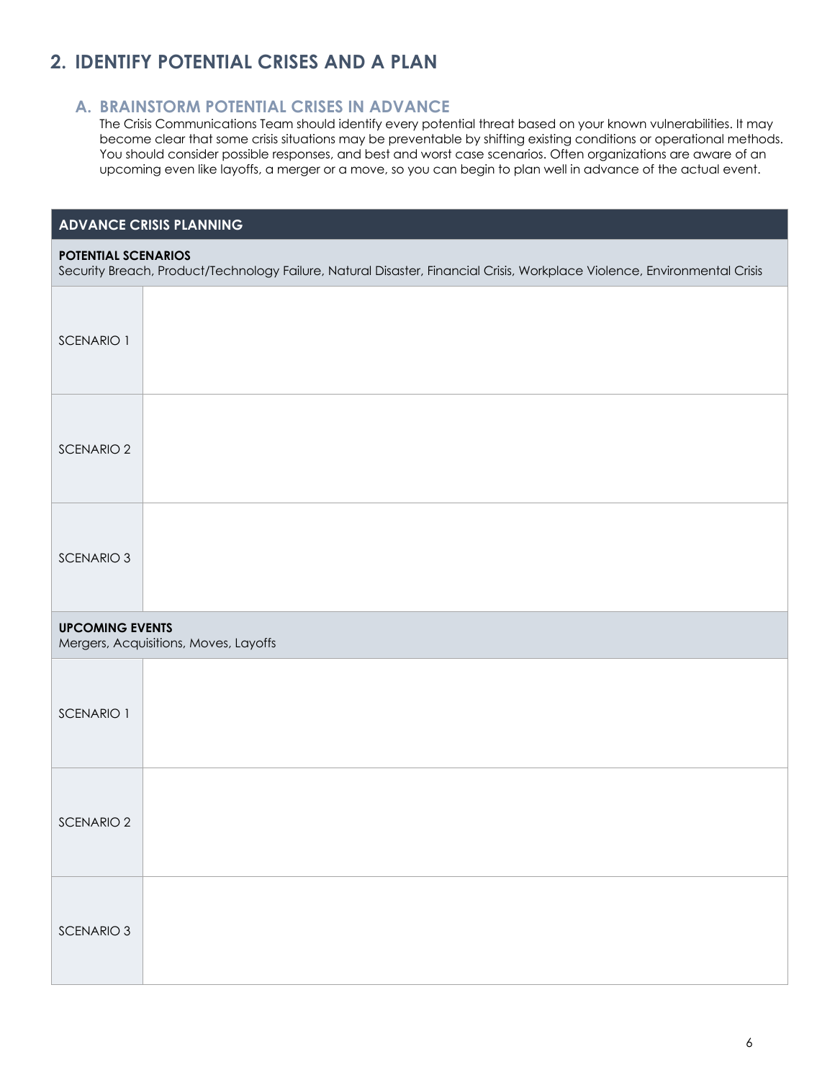# **2. IDENTIFY POTENTIAL CRISES AND A PLAN**

## **A. BRAINSTORM POTENTIAL CRISES IN ADVANCE**

The Crisis Communications Team should identify every potential threat based on your known vulnerabilities. It may become clear that some crisis situations may be preventable by shifting existing conditions or operational methods. You should consider possible responses, and best and worst case scenarios. Often organizations are aware of an upcoming even like layoffs, a merger or a move, so you can begin to plan well in advance of the actual event.

### **ADVANCE CRISIS PLANNING**

#### **POTENTIAL SCENARIOS**

Security Breach, Product/Technology Failure, Natural Disaster, Financial Crisis, Workplace Violence, Environmental Crisis

| SCENARIO 1             |                                       |
|------------------------|---------------------------------------|
| SCENARIO <sub>2</sub>  |                                       |
| SCENARIO <sub>3</sub>  |                                       |
| <b>UPCOMING EVENTS</b> | Mergers, Acquisitions, Moves, Layoffs |
| SCENARIO 1             |                                       |
| SCENARIO <sub>2</sub>  |                                       |
| SCENARIO <sub>3</sub>  |                                       |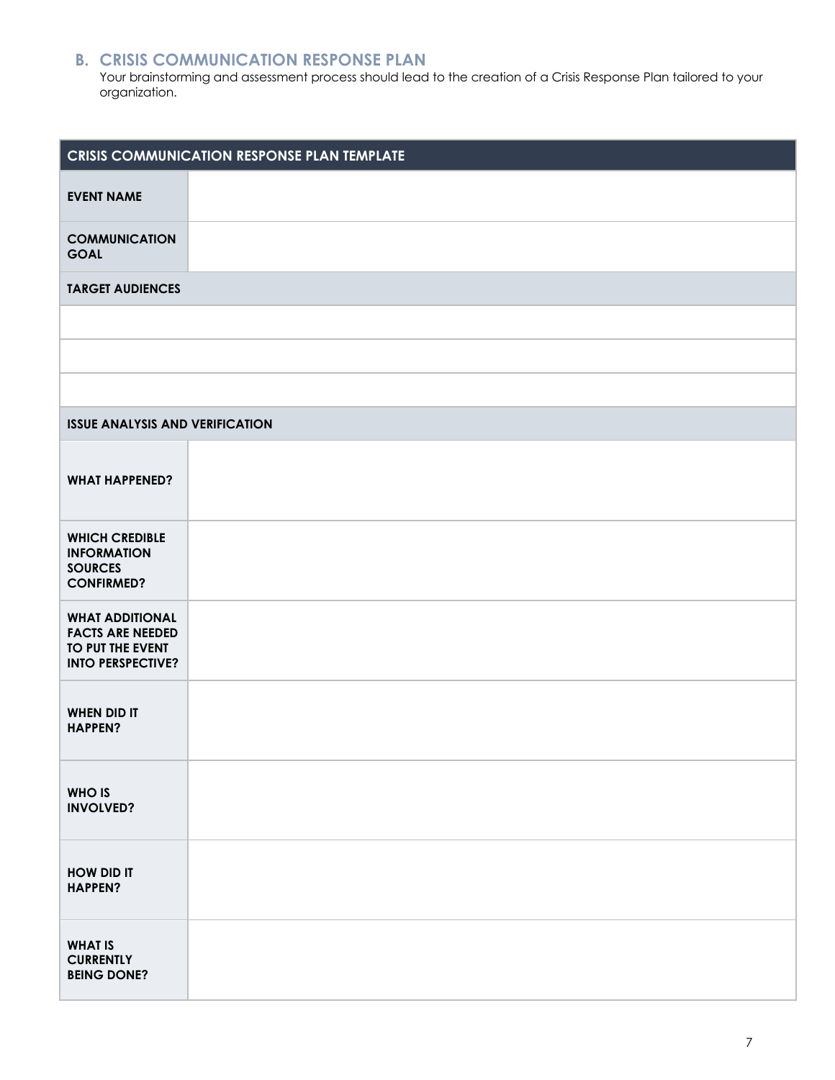## **B. CRISIS COMMUNICATION RESPONSE PLAN**

Your brainstorming and assessment process should lead to the creation of a Crisis Response Plan tailored to your organization.

| <b>CRISIS COMMUNICATION RESPONSE PLAN TEMPLATE</b>                                                |  |  |  |
|---------------------------------------------------------------------------------------------------|--|--|--|
| <b>EVENT NAME</b>                                                                                 |  |  |  |
| <b>COMMUNICATION</b><br><b>GOAL</b>                                                               |  |  |  |
| <b>TARGET AUDIENCES</b>                                                                           |  |  |  |
|                                                                                                   |  |  |  |
|                                                                                                   |  |  |  |
|                                                                                                   |  |  |  |
| <b>ISSUE ANALYSIS AND VERIFICATION</b>                                                            |  |  |  |
| <b>WHAT HAPPENED?</b>                                                                             |  |  |  |
| <b>WHICH CREDIBLE</b><br><b>INFORMATION</b><br><b>SOURCES</b><br><b>CONFIRMED?</b>                |  |  |  |
| <b>WHAT ADDITIONAL</b><br><b>FACTS ARE NEEDED</b><br>TO PUT THE EVENT<br><b>INTO PERSPECTIVE?</b> |  |  |  |
| <b>WHEN DID IT</b><br><b>HAPPEN?</b>                                                              |  |  |  |
| <b>WHO IS</b><br><b>INVOLVED?</b>                                                                 |  |  |  |
| HOW DID IT<br><b>HAPPEN?</b>                                                                      |  |  |  |
| <b>WHAT IS</b><br><b>CURRENTLY</b><br><b>BEING DONE?</b>                                          |  |  |  |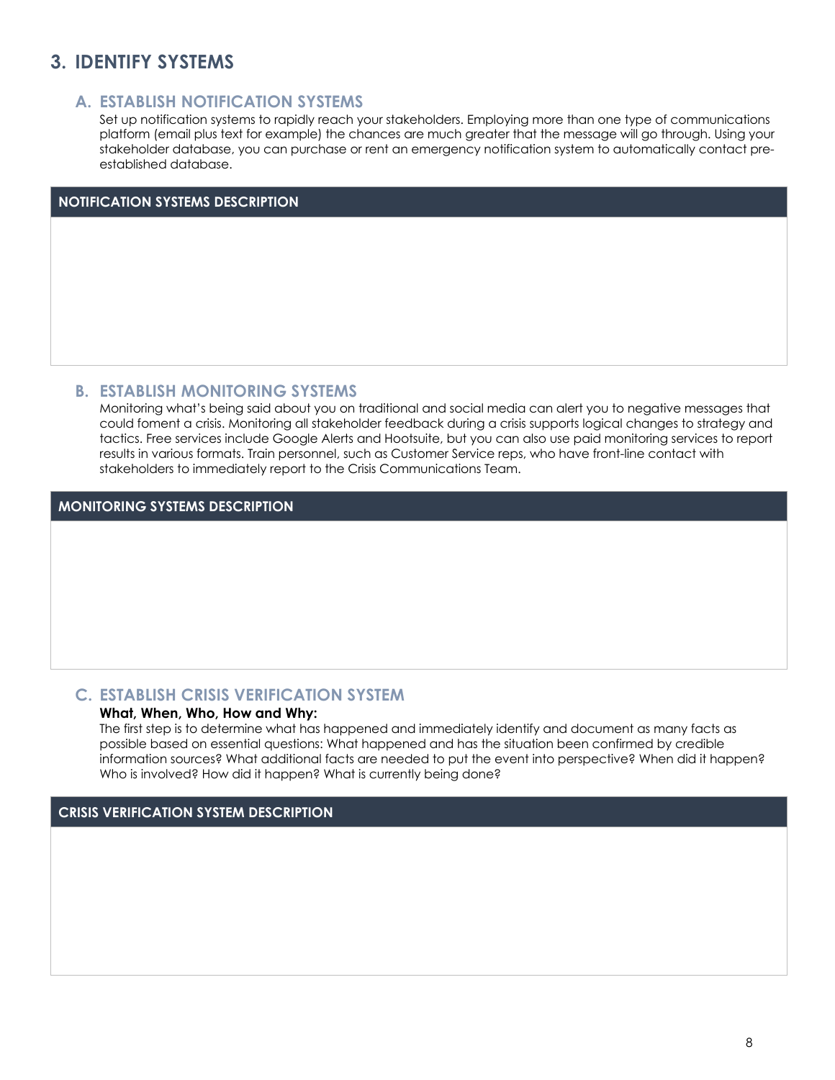# **3. IDENTIFY SYSTEMS**

#### **A. ESTABLISH NOTIFICATION SYSTEMS**

Set up notification systems to rapidly reach your stakeholders. Employing more than one type of communications platform (email plus text for example) the chances are much greater that the message will go through. Using your stakeholder database, you can purchase or rent an emergency notification system to automatically contact preestablished database.

| <b>NOTIFICATION SYSTEMS DESCRIPTION</b> |  |  |  |  |
|-----------------------------------------|--|--|--|--|
|                                         |  |  |  |  |
|                                         |  |  |  |  |
|                                         |  |  |  |  |
|                                         |  |  |  |  |
|                                         |  |  |  |  |
|                                         |  |  |  |  |
|                                         |  |  |  |  |

### **B. ESTABLISH MONITORING SYSTEMS**

Monitoring what's being said about you on traditional and social media can alert you to negative messages that could foment a crisis. Monitoring all stakeholder feedback during a crisis supports logical changes to strategy and tactics. Free services include Google Alerts and Hootsuite, but you can also use paid monitoring services to report results in various formats. Train personnel, such as Customer Service reps, who have front-line contact with stakeholders to immediately report to the Crisis Communications Team.

#### **MONITORING SYSTEMS DESCRIPTION**

#### **C. ESTABLISH CRISIS VERIFICATION SYSTEM**

#### **What, When, Who, How and Why:**

The first step is to determine what has happened and immediately identify and document as many facts as possible based on essential questions: What happened and has the situation been confirmed by credible information sources? What additional facts are needed to put the event into perspective? When did it happen? Who is involved? How did it happen? What is currently being done?

### **CRISIS VERIFICATION SYSTEM DESCRIPTION**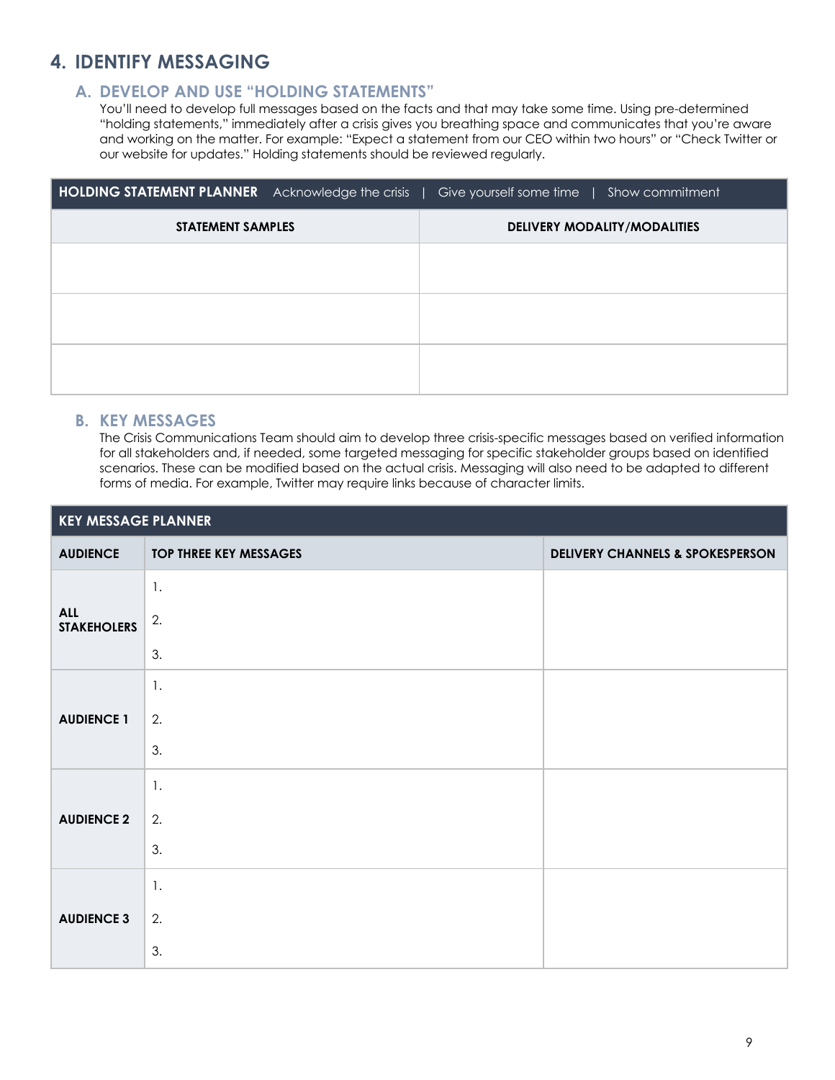# **4. IDENTIFY MESSAGING**

## **A. DEVELOP AND USE "HOLDING STATEMENTS"**

You'll need to develop full messages based on the facts and that may take some time. Using pre-determined "holding statements," immediately after a crisis gives you breathing space and communicates that you're aware and working on the matter. For example: "Expect a statement from our CEO within two hours" or "Check Twitter or our website for updates." Holding statements should be reviewed regularly.

| <b>HOLDING STATEMENT PLANNER</b> Acknowledge the crisis   Give yourself some time   Show commitment |                              |
|-----------------------------------------------------------------------------------------------------|------------------------------|
| <b>STATEMENT SAMPLES</b>                                                                            | DELIVERY MODALITY/MODALITIES |
|                                                                                                     |                              |
|                                                                                                     |                              |
|                                                                                                     |                              |
|                                                                                                     |                              |
|                                                                                                     |                              |

#### **B. KEY MESSAGES**

The Crisis Communications Team should aim to develop three crisis-specific messages based on verified information for all stakeholders and, if needed, some targeted messaging for specific stakeholder groups based on identified scenarios. These can be modified based on the actual crisis. Messaging will also need to be adapted to different forms of media. For example, Twitter may require links because of character limits.

| <b>KEY MESSAGE PLANNER</b>       |                        |                                             |  |  |  |
|----------------------------------|------------------------|---------------------------------------------|--|--|--|
| <b>AUDIENCE</b>                  | TOP THREE KEY MESSAGES | <b>DELIVERY CHANNELS &amp; SPOKESPERSON</b> |  |  |  |
|                                  | $\mathbf{1}$ .         |                                             |  |  |  |
| <b>ALL</b><br><b>STAKEHOLERS</b> | 2.                     |                                             |  |  |  |
|                                  | 3.                     |                                             |  |  |  |
|                                  | $\mathbf{1}$ .         |                                             |  |  |  |
| <b>AUDIENCE 1</b>                | 2.                     |                                             |  |  |  |
|                                  | 3.                     |                                             |  |  |  |
|                                  | $\mathbf{1}$ .         |                                             |  |  |  |
| <b>AUDIENCE 2</b>                | 2.                     |                                             |  |  |  |
|                                  | 3.                     |                                             |  |  |  |
|                                  | $\mathbf{1}$ .         |                                             |  |  |  |
| <b>AUDIENCE 3</b>                | 2.                     |                                             |  |  |  |
|                                  | 3.                     |                                             |  |  |  |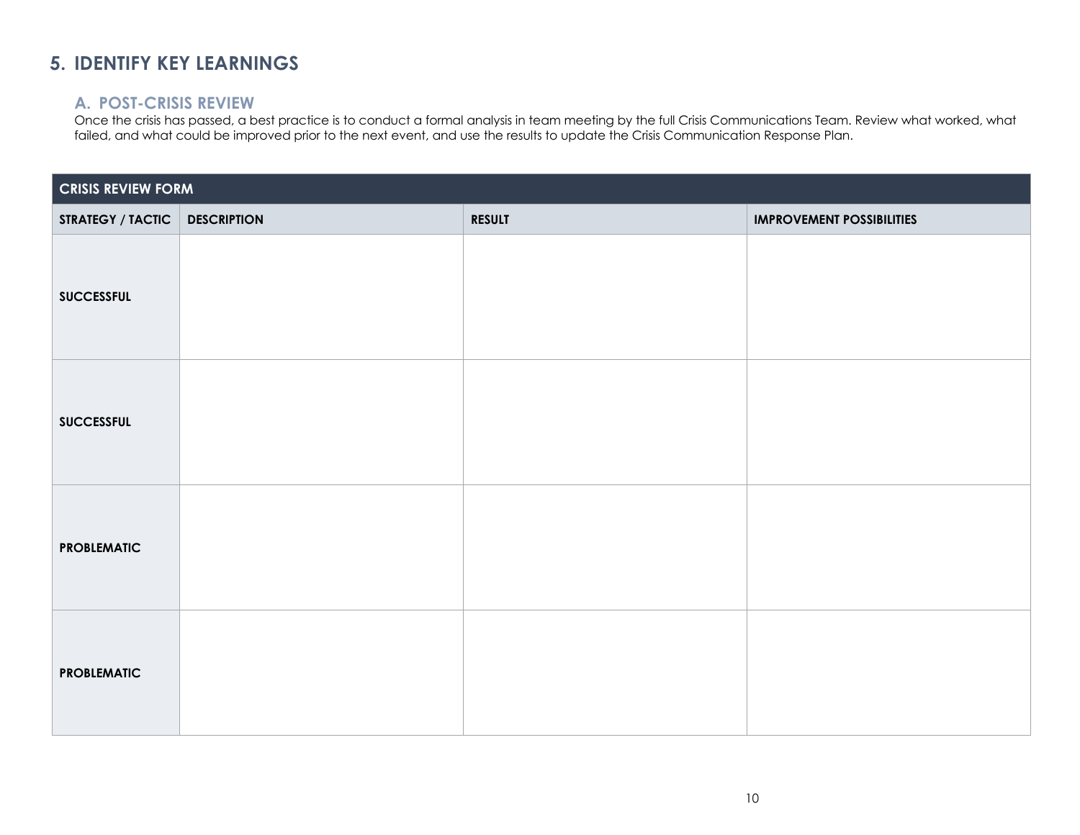# **5. IDENTIFY KEY LEARNINGS**

### **A. POST-CRISIS REVIEW**

Once the crisis has passed, a best practice is to conduct a formal analysis in team meeting by the full Crisis Communications Team. Review what worked, what failed, and what could be improved prior to the next event, and use the results to update the Crisis Communication Response Plan.

| <b>CRISIS REVIEW FORM</b>       |  |               |                                  |  |  |
|---------------------------------|--|---------------|----------------------------------|--|--|
| STRATEGY / TACTIC   DESCRIPTION |  | <b>RESULT</b> | <b>IMPROVEMENT POSSIBILITIES</b> |  |  |
| <b>SUCCESSFUL</b>               |  |               |                                  |  |  |
| <b>SUCCESSFUL</b>               |  |               |                                  |  |  |
| <b>PROBLEMATIC</b>              |  |               |                                  |  |  |
| <b>PROBLEMATIC</b>              |  |               |                                  |  |  |